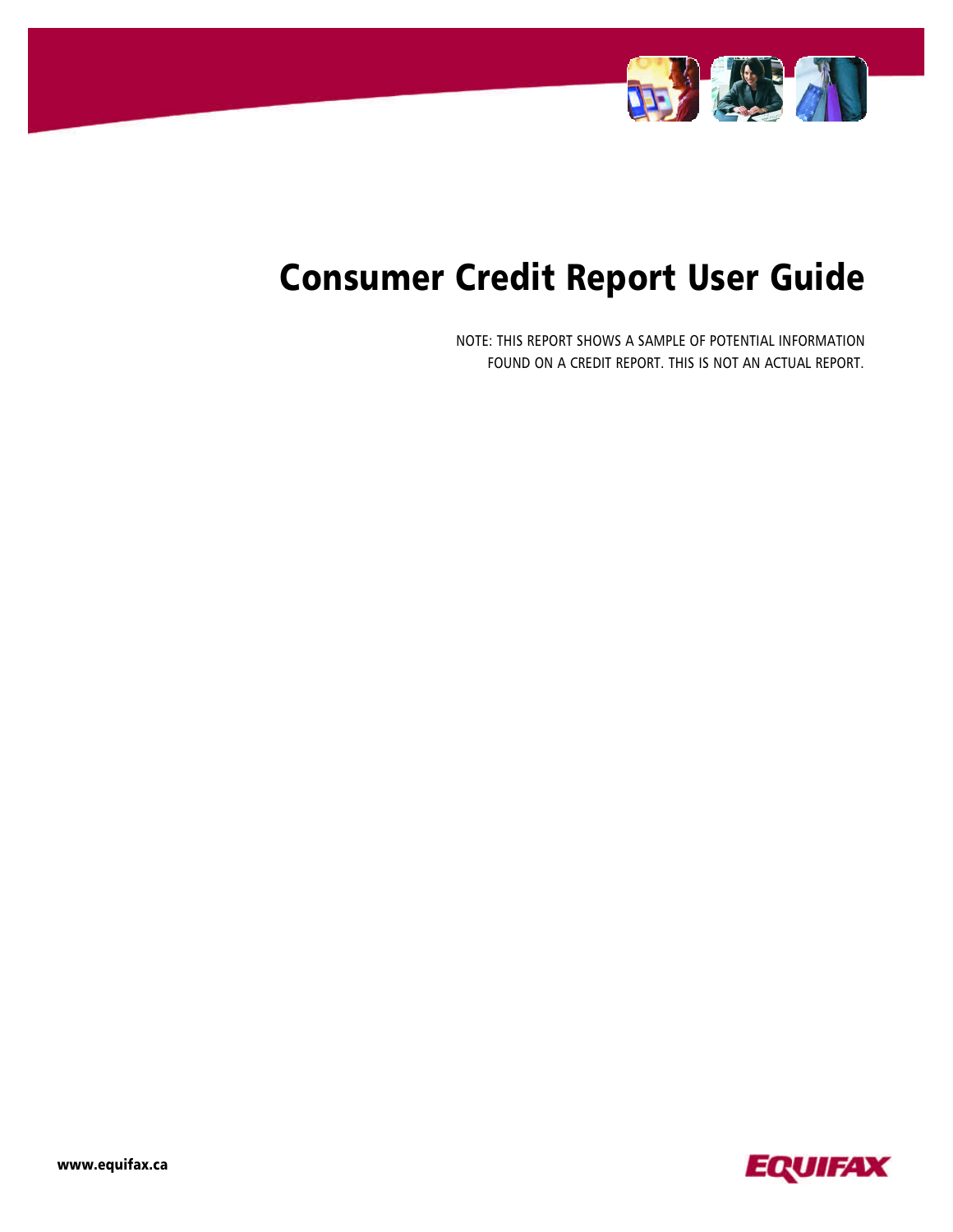

# Consumer Credit Report User Guide

NOTE: THIS REPORT SHOWS A SAMPLE OF POTENTIAL INFORMATION FOUND ON A CREDIT REPORT. THIS IS NOT AN ACTUAL REPORT.

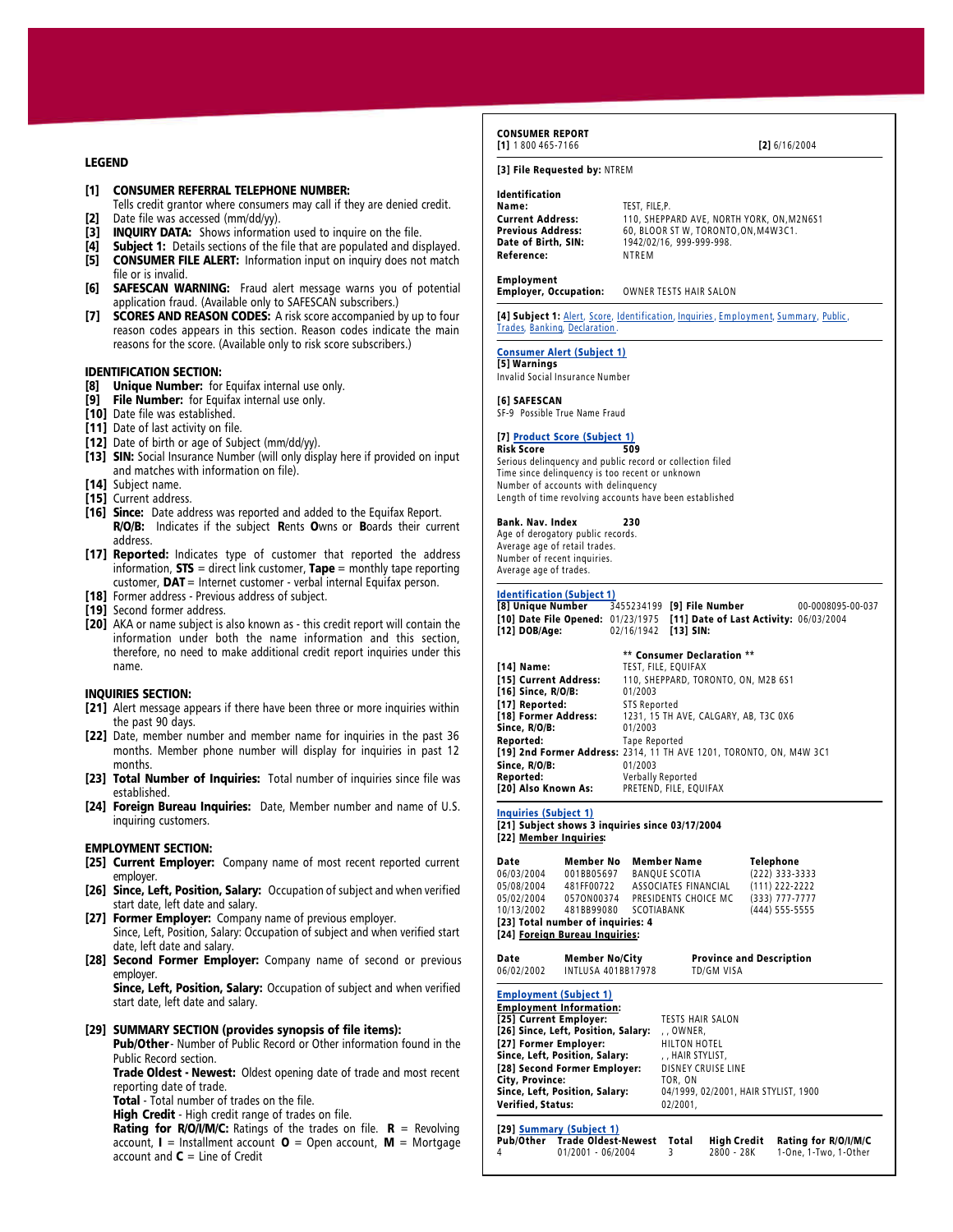## LEGEND

- [1] CONSUMER REFERRAL TELEPHONE NUMBER:
- Tells credit grantor where consumers may call if they are denied credit. [2] Date file was accessed (mm/dd/yy).
- [3] INQUIRY DATA: Shows information used to inquire on the file.
- [4] Subject 1: Details sections of the file that are populated and displayed.
- [5] CONSUMER FILE ALERT: Information input on inquiry does not match file or is invalid.
- [6] SAFESCAN WARNING: Fraud alert message warns you of potential application fraud. (Available only to SAFESCAN subscribers.)
- [7] SCORES AND REASON CODES: A risk score accompanied by up to four reason codes appears in this section. Reason codes indicate the main reasons for the score. (Available only to risk score subscribers.)

#### IDENTIFICATION SECTION:

- [8] Unique Number: for Equifax internal use only.
- [9] File Number: for Equifax internal use only.
- [10] Date file was established.
- [11] Date of last activity on file.
- [12] Date of birth or age of Subject (mm/dd/yy).
- [13] SIN: Social Insurance Number (will only display here if provided on input and matches with information on file).
- [14] Subject name.
- [15] Current address.
- [16] Since: Date address was reported and added to the Equifax Report. R/O/B: Indicates if the subject Rents Owns or Boards their current address.
- [17] Reported: Indicates type of customer that reported the address information,  $STS =$  direct link customer,  $Tape =$  monthly tape reporting customer,  $DAT =$  Internet customer - verbal internal Equifax person.
- [18] Former address Previous address of subject.
- [19] Second former address.
- [20] AKA or name subject is also known as this credit report will contain the information under both the name information and this section, therefore, no need to make additional credit report inquiries under this name.

## INQUIRIES SECTION:

- [21] Alert message appears if there have been three or more inquiries within the past 90 days.
- [22] Date, member number and member name for inquiries in the past 36 months. Member phone number will display for inquiries in past 12 months.
- [23] Total Number of Inquiries: Total number of inquiries since file was established.
- [24] Foreign Bureau Inquiries: Date, Member number and name of U.S. inquiring customers.

## EMPLOYMENT SECTION:

- [25] Current Employer: Company name of most recent reported current employer.
- [26] Since, Left, Position, Salary: Occupation of subject and when verified start date, left date and salary.
- [27] Former Employer: Company name of previous employer. Since, Left, Position, Salary: Occupation of subject and when verified start
- date, left date and salary. [28] Second Former Employer: Company name of second or previous
- employer.

Since, Left, Position, Salary: Occupation of subject and when verified start date, left date and salary.

## [29] SUMMARY SECTION (provides synopsis of file items):

Pub/Other - Number of Public Record or Other information found in the Public Record section. Trade Oldest - Newest: Oldest opening date of trade and most recent

reporting date of trade.

Total - Total number of trades on the file.

High Credit - High credit range of trades on file.

**Rating for R/O/I/M/C:** Ratings of the trades on file.  $R =$  Revolving account,  $I =$  Installment account  $O =$  Open account,  $M =$  Mortgage account and  $C =$  Line of Credit

#### CONSUMER REPORT [1] 1 800 465-7166 [2] 6/16/2004

## [3] File Requested by: NTREM

## Identification

Name: TEST, FILE,P. Reference:

Current Address: 110, SHEPPARD AVE, NORTH YORK, ON, M2N6S1<br>Previous Address: 60, BLOOR ST W, TORONTO, ON, M4W3C1. **Previous Address:** 60, BLOOR ST W, TORONTO,ON, M4W3C1.<br> **Date of Birth, SIN:** 1942/02/16, 999-999-998. 1942/02/16, 999-999-998.<br>NTRFM

Employment OWNER TESTS HAIR SALON

[4] Subject 1: Alert, Score, Identification, Inquiries, Employment, Summary, Public, Trades, Banking, Declaration .

## Consumer Alert (Subject 1)

[5] Warnings Invalid Social Insurance Number

## [6] SAFESCAN

SF-9 Possible True Name Fraud

#### [7] Product Score (Subject 1) Risk Score 509

Serious delinquency and public record or collection filed Time since delinquency is too recent or unknown Number of accounts with delinquency Length of time revolving accounts have been established

#### Bank. Nav. Index 230

Age of derogatory public records. Average age of retail trades. Number of recent inquiries. Average age of trades.

## Identification (Subject 1)<br>[8] Unique Number 3

[8] Unique Number 3455234199 [9] File Number 00-0008095-00-037 [10] Date File Opened: 01/23/1975 [11] Date of Last Activity: 06/03/2004<br>[12] DOB/Age: 02/16/1942 [13] SIN: 02/16/1942 [13] SIN:

|                       | ** Consumer Declaration **                                          |
|-----------------------|---------------------------------------------------------------------|
| [14] Name:            | TEST, FILE, EQUIFAX                                                 |
| [15] Current Address: | 110, SHEPPARD, TORONTO, ON, M2B 6S1                                 |
| [16] Since, R/O/B:    | 01/2003                                                             |
| [17] Reported:        | <b>STS Reported</b>                                                 |
| [18] Former Address:  | 1231, 15 TH AVE, CALGARY, AB, T3C 0X6                               |
| Since, R/O/B:         | 01/2003                                                             |
| Reported:             | Tape Reported                                                       |
|                       | [19] 2nd Former Address: 2314, 11 TH AVE 1201, TORONTO, ON, M4W 3C1 |
| Since, R/O/B:         | 01/2003                                                             |
| Reported:             | Verbally Reported                                                   |
| [20] Also Known As:   | PRETEND, FILE, EQUIFAX                                              |

[21] Subject shows 3 inquiries since 03/17/2004 [22] Member Inquiries:

| Date        | <b>Member No</b>                                                    | <b>Member Name</b>   | <b>Telephone</b>                |
|-------------|---------------------------------------------------------------------|----------------------|---------------------------------|
| 06/03/2004  | 001BB05697                                                          | <b>BANOUE SCOTIA</b> | (222) 333-3333                  |
| 05/08/2004  | 481FF00722                                                          | ASSOCIATES FINANCIAL | $(111)$ 222-2222                |
| 05/02/2004  | 0570N00374                                                          | PRESIDENTS CHOICE MC | $(333)$ 777-7777                |
| 10/13/2002  | 481BB99080                                                          | SCOTIABANK           | (444) 555-5555                  |
|             | [23] Total number of inquiries: 4<br>[24] Foreign Bureau Inquiries: |                      |                                 |
| <b>Date</b> | Mamhar No/City                                                      |                      | <b>Drovince and Description</b> |

Date Member No/City Province and Description 06/02/2002 INTLUSA 401BB17978 TD/GM VISA Employment (Subject 1) Employment Information: [25] Current Employer: TESTS HAIR SALON<br>[26] Since, Left, Position, Salary: , , OWNER. [26] Since, Left, Position, Salary: , , OWNER,<br>[27] Former Employer: HILTON HOTEL [27] Former Employer: HILTON HOTEL<br>
Since, Left, Position, Salary: HAIR STYLIST. Since, Left, Position, Salary: , , HAIR STYLIST,<br>[28] Second Former Employer: DISNEY CRUISE LINE [28] Second Former Employer: DISNEY C<br>City, Province: TOR, ON City, Province:<br>Since, Left, Position, Salary: 04/1999, 02/2001, HAIR STYLIST, 1900 Verified, Status: 02/2001,

[29] <u>Summary (Subject 1)</u><br>Pub/Other Trade Oldest-Newest Total Pub/Other Trade Oldest-Newest Total High Credit Rating for R/O/I/M/C<br>4 01/2001 - 06/2004 3 2800 - 28K 1-One 1-Two 1-Other 4 01/2001 - 06/2004 3 2800 - 28K 1-One, 1-Two, 1-Other

Inquiries (Subject 1)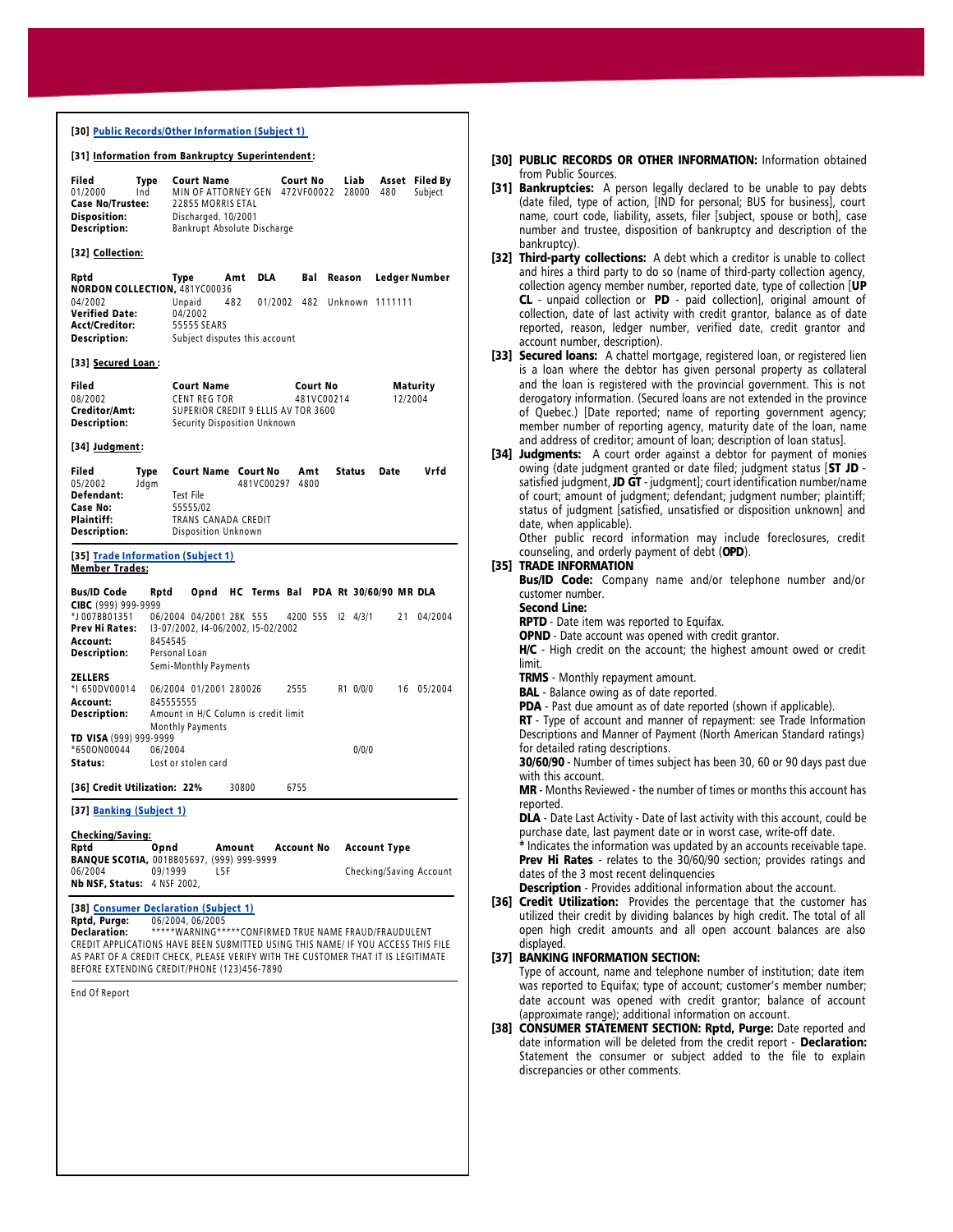| [30] <u>Public Records/Other Information (Subject 1)</u>                                                                                                                                                                                                                                                                                                                 |                                                                                                                                                                                                        |  |  |
|--------------------------------------------------------------------------------------------------------------------------------------------------------------------------------------------------------------------------------------------------------------------------------------------------------------------------------------------------------------------------|--------------------------------------------------------------------------------------------------------------------------------------------------------------------------------------------------------|--|--|
|                                                                                                                                                                                                                                                                                                                                                                          | [31] Information from Bankruptcy Superintendent:                                                                                                                                                       |  |  |
| Filed<br>Type<br>01/2000<br>Ind<br><b>Case No/Trustee:</b><br>Disposition:<br>Description:                                                                                                                                                                                                                                                                               | <b>Court Name</b><br><b>Court No</b><br>Liab<br>Asset Filed By<br>MIN OF ATTORNEY GEN 472VF00022<br>28000<br>480<br>Subject<br>22855 MORRIS ETAL<br>Discharged. 10/2001<br>Bankrupt Absolute Discharge |  |  |
| [32] Collection:                                                                                                                                                                                                                                                                                                                                                         |                                                                                                                                                                                                        |  |  |
| Rptd<br><b>NORDON COLLECTION, 481YC00036</b><br>04/2002<br><b>Verified Date:</b><br>Acct/Creditor:<br><b>Description:</b>                                                                                                                                                                                                                                                | DLA<br>Bal<br>Ledger Number<br>Type<br>Amt<br>Reason<br>Unpaid<br>482<br>01/2002 482<br>Unknown 1111111<br>04/2002<br>55555 SEARS<br>Subject disputes this account                                     |  |  |
| [33] Secured Loan:                                                                                                                                                                                                                                                                                                                                                       |                                                                                                                                                                                                        |  |  |
| Filed<br>08/2002<br>Creditor/Amt:<br><b>Description:</b>                                                                                                                                                                                                                                                                                                                 | <b>Court Name</b><br>Court No<br>Maturity<br><b>CENT REG TOR</b><br>481VC00214<br>12/2004<br>SUPERIOR CREDIT 9 ELLIS AV TOR 3600<br>Security Disposition Unknown                                       |  |  |
| [34] Judgment:                                                                                                                                                                                                                                                                                                                                                           |                                                                                                                                                                                                        |  |  |
| Filed<br>Type<br>05/2002<br>Jdgm<br>Defendant:<br>Case No:<br>Plaintiff:<br>Description:                                                                                                                                                                                                                                                                                 | <b>Court Name Court No</b><br>Status<br>Date<br>Vrfd<br>Amt<br>481VC00297<br>4800<br><b>Test File</b><br>55555/02<br>TRANS CANADA CREDIT<br>Disposition Unknown                                        |  |  |
| [35] Trade Information (Subject 1)<br>Member Trades:                                                                                                                                                                                                                                                                                                                     |                                                                                                                                                                                                        |  |  |
| <b>Bus/ID Code</b><br>Rptd<br>CIBC (999) 999-9999<br>*J007BB01351<br>Prev Hi Rates:<br>Account:<br>Description:                                                                                                                                                                                                                                                          | Opnd<br>HC Terms Bal<br>PDA Rt 30/60/90 MR DLA<br>06/2004 04/2001 28K 555<br>4200 555<br>$12 \quad 4/3/1$<br>21<br>04/2004<br>13-07/2002, 14-06/2002, 15-02/2002<br>8454545<br>Personal Loan           |  |  |
| <b>ZELLERS</b><br>*I 650DV00014<br>Account:<br><b>Description:</b>                                                                                                                                                                                                                                                                                                       | Semi-Monthly Payments<br>06/2004 01/2001 280026<br>2555<br>R1 0/0/0<br>16 05/2004<br>845555555<br>Amount in H/C Column is credit limit<br><b>Monthly Payments</b>                                      |  |  |
| TD VISA (999) 999-9999<br>*6500N00044<br>Status:                                                                                                                                                                                                                                                                                                                         | 0/0/0<br>06/2004<br>Lost or stolen card                                                                                                                                                                |  |  |
| [36] Credit Utilization: 22%                                                                                                                                                                                                                                                                                                                                             | 30800<br>6755                                                                                                                                                                                          |  |  |
| [37] Banking (Subject 1)                                                                                                                                                                                                                                                                                                                                                 |                                                                                                                                                                                                        |  |  |
| Checking/Saving:<br>Rptd<br>06/2004<br>Nb NSF, Status: 4 NSF 2002,                                                                                                                                                                                                                                                                                                       | <b>Account Type</b><br>Opnd<br>Amount<br>Account No<br><b>BANQUE SCOTIA, 001BB05697, (999) 999-9999</b><br>L5F<br>Checking/Saving Account<br>09/1999                                                   |  |  |
| [38] Consumer Declaration (Subject 1)<br>Rptd, Purge:<br>06/2004.06/2005<br>*****WARNING*****CONFIRMED TRUE NAME FRAUD/FRAUDULENT<br>Declaration:<br>CREDIT APPLICATIONS HAVE BEEN SUBMITTED USING THIS NAME/ IF YOU ACCESS THIS FILE<br>AS PART OF A CREDIT CHECK, PLEASE VERIFY WITH THE CUSTOMER THAT IT IS LEGITIMATE<br>BEFORE EXTENDING CREDIT/PHONE (123)456-7890 |                                                                                                                                                                                                        |  |  |
| End Of Report                                                                                                                                                                                                                                                                                                                                                            |                                                                                                                                                                                                        |  |  |
|                                                                                                                                                                                                                                                                                                                                                                          |                                                                                                                                                                                                        |  |  |

- [30] PUBLIC RECORDS OR OTHER INFORMATION: Information obtained from Public Sources.
- [31] Bankruptcies: A person legally declared to be unable to pay debts (date filed, type of action, [IND for personal; BUS for business], court name, court code, liability, assets, filer [subject, spouse or both], case number and trustee, disposition of bankruptcy and description of the bankruptcy).
- [32] Third-party collections: A debt which a creditor is unable to collect and hires a third party to do so (name of third-party collection agency, collection agency member number, reported date, type of collection [UP CL - unpaid collection or PD - paid collection], original amount of collection, date of last activity with credit grantor, balance as of date reported, reason, ledger number, verified date, credit grantor and account number, description).
- [33] Secured loans: A chattel mortgage, registered loan, or registered lien is a loan where the debtor has given personal property as collateral and the loan is registered with the provincial government. This is not derogatory information. (Secured loans are not extended in the province of Quebec.) [Date reported; name of reporting government agency; member number of reporting agency, maturity date of the loan, name and address of creditor; amount of loan; description of loan status].
- [34] Judgments: A court order against a debtor for payment of monies owing (date judgment granted or date filed; judgment status [ST JD satisfied judgment, JD GT - judgment]; court identification number/name of court; amount of judgment; defendant; judgment number; plaintiff; status of judgment [satisfied, unsatisfied or disposition unknown] and date, when applicable).

Other public record information may include foreclosures, credit counseling, and orderly payment of debt (OPD).

## [35] TRADE INFORMATION

Bus/ID Code: Company name and/or telephone number and/or customer number.

## Second Line:

RPTD - Date item was reported to Equifax.

OPND - Date account was opened with credit grantor.

H/C - High credit on the account; the highest amount owed or credit limit.

TRMS - Monthly repayment amount.

**BAL** - Balance owing as of date reported.

PDA - Past due amount as of date reported (shown if applicable).

RT - Type of account and manner of repayment: see Trade Information Descriptions and Manner of Payment (North American Standard ratings) for detailed rating descriptions.

30/60/90 - Number of times subject has been 30, 60 or 90 days past due with this account.

MR - Months Reviewed - the number of times or months this account has reported.

DLA - Date Last Activity - Date of last activity with this account, could be purchase date, last payment date or in worst case, write-off date.

\* Indicates the information was updated by an accounts receivable tape. **Prev Hi Rates** - relates to the 30/60/90 section; provides ratings and dates of the 3 most recent delinquencies

Description - Provides additional information about the account.

[36] Credit Utilization: Provides the percentage that the customer has utilized their credit by dividing balances by high credit. The total of all open high credit amounts and all open account balances are also displayed.

## [37] BANKING INFORMATION SECTION:

Type of account, name and telephone number of institution; date item was reported to Equifax; type of account; customer's member number; date account was opened with credit grantor; balance of account (approximate range); additional information on account.

[38] CONSUMER STATEMENT SECTION: Rptd, Purge: Date reported and date information will be deleted from the credit report - Declaration: Statement the consumer or subject added to the file to explain discrepancies or other comments.